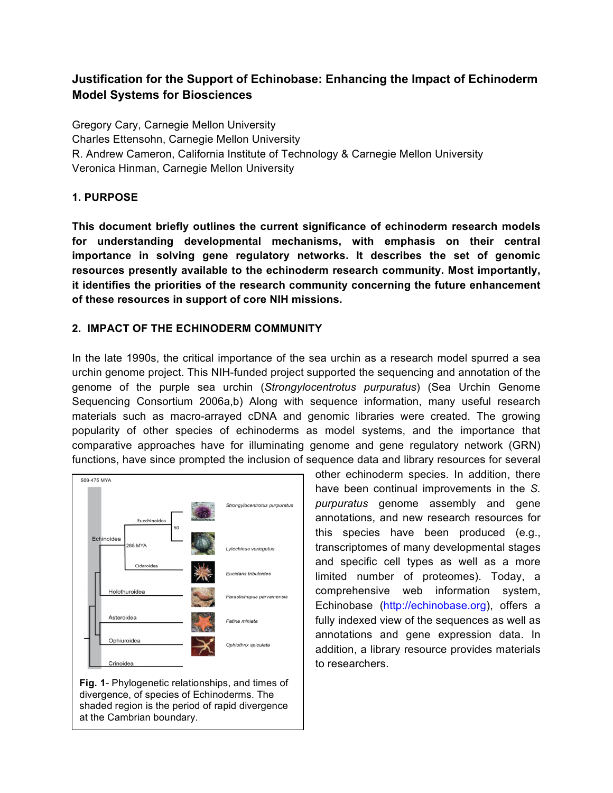# **Justification for the Support of Echinobase: Enhancing the Impact of Echinoderm Model Systems for Biosciences**

Gregory Cary, Carnegie Mellon University Charles Ettensohn, Carnegie Mellon University R. Andrew Cameron, California Institute of Technology & Carnegie Mellon University Veronica Hinman, Carnegie Mellon University

## **1. PURPOSE**

**This document briefly outlines the current significance of echinoderm research models for understanding developmental mechanisms, with emphasis on their central importance in solving gene regulatory networks. It describes the set of genomic resources presently available to the echinoderm research community. Most importantly, it identifies the priorities of the research community concerning the future enhancement of these resources in support of core NIH missions.**

## **2. IMPACT OF THE ECHINODERM COMMUNITY**

In the late 1990s, the critical importance of the sea urchin as a research model spurred a sea urchin genome project. This NIH-funded project supported the sequencing and annotation of the genome of the purple sea urchin (*Strongylocentrotus purpuratus*) (Sea Urchin Genome Sequencing Consortium 2006a,b) Along with sequence information, many useful research materials such as macro-arrayed cDNA and genomic libraries were created. The growing popularity of other species of echinoderms as model systems, and the importance that comparative approaches have for illuminating genome and gene regulatory network (GRN) functions, have since prompted the inclusion of sequence data and library resources for several





other echinoderm species. In addition, there have been continual improvements in the *S. purpuratus* genome assembly and gene annotations, and new research resources for this species have been produced (e.g., transcriptomes of many developmental stages and specific cell types as well as a more limited number of proteomes). Today, a comprehensive web information system, Echinobase (http://echinobase.org), offers a fully indexed view of the sequences as well as annotations and gene expression data. In addition, a library resource provides materials to researchers.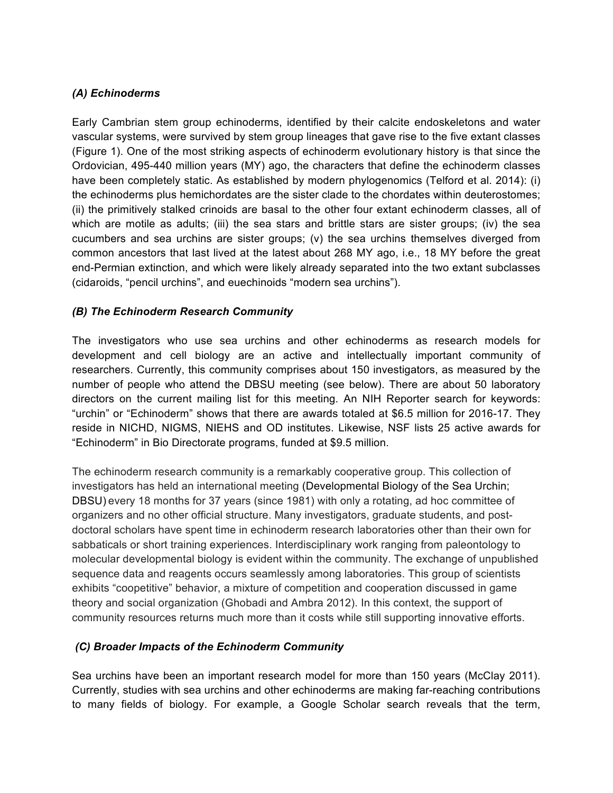### *(A) Echinoderms*

Early Cambrian stem group echinoderms, identified by their calcite endoskeletons and water vascular systems, were survived by stem group lineages that gave rise to the five extant classes (Figure 1). One of the most striking aspects of echinoderm evolutionary history is that since the Ordovician, 495-440 million years (MY) ago, the characters that define the echinoderm classes have been completely static. As established by modern phylogenomics (Telford et al. 2014): (i) the echinoderms plus hemichordates are the sister clade to the chordates within deuterostomes; (ii) the primitively stalked crinoids are basal to the other four extant echinoderm classes, all of which are motile as adults; (iii) the sea stars and brittle stars are sister groups; (iv) the sea cucumbers and sea urchins are sister groups; (v) the sea urchins themselves diverged from common ancestors that last lived at the latest about 268 MY ago, i.e., 18 MY before the great end-Permian extinction, and which were likely already separated into the two extant subclasses (cidaroids, "pencil urchins", and euechinoids "modern sea urchins").

### *(B) The Echinoderm Research Community*

The investigators who use sea urchins and other echinoderms as research models for development and cell biology are an active and intellectually important community of researchers. Currently, this community comprises about 150 investigators, as measured by the number of people who attend the DBSU meeting (see below). There are about 50 laboratory directors on the current mailing list for this meeting. An NIH Reporter search for keywords: "urchin" or "Echinoderm" shows that there are awards totaled at \$6.5 million for 2016-17. They reside in NICHD, NIGMS, NIEHS and OD institutes. Likewise, NSF lists 25 active awards for "Echinoderm" in Bio Directorate programs, funded at \$9.5 million.

The echinoderm research community is a remarkably cooperative group. This collection of investigators has held an international meeting (Developmental Biology of the Sea Urchin; DBSU) every 18 months for 37 years (since 1981) with only a rotating, ad hoc committee of organizers and no other official structure. Many investigators, graduate students, and postdoctoral scholars have spent time in echinoderm research laboratories other than their own for sabbaticals or short training experiences. Interdisciplinary work ranging from paleontology to molecular developmental biology is evident within the community. The exchange of unpublished sequence data and reagents occurs seamlessly among laboratories. This group of scientists exhibits "coopetitive" behavior, a mixture of competition and cooperation discussed in game theory and social organization (Ghobadi and Ambra 2012). In this context, the support of community resources returns much more than it costs while still supporting innovative efforts.

## *(C) Broader Impacts of the Echinoderm Community*

Sea urchins have been an important research model for more than 150 years (McClay 2011). Currently, studies with sea urchins and other echinoderms are making far-reaching contributions to many fields of biology. For example, a Google Scholar search reveals that the term,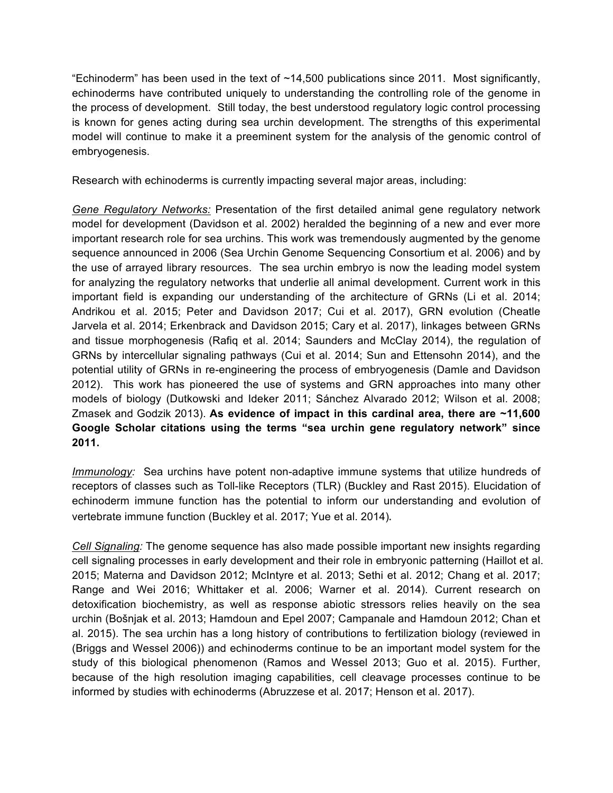"Echinoderm" has been used in the text of  $\sim$ 14,500 publications since 2011. Most significantly, echinoderms have contributed uniquely to understanding the controlling role of the genome in the process of development. Still today, the best understood regulatory logic control processing is known for genes acting during sea urchin development. The strengths of this experimental model will continue to make it a preeminent system for the analysis of the genomic control of embryogenesis.

Research with echinoderms is currently impacting several major areas, including:

*Gene Regulatory Networks:* Presentation of the first detailed animal gene regulatory network model for development (Davidson et al. 2002) heralded the beginning of a new and ever more important research role for sea urchins. This work was tremendously augmented by the genome sequence announced in 2006 (Sea Urchin Genome Sequencing Consortium et al. 2006) and by the use of arrayed library resources. The sea urchin embryo is now the leading model system for analyzing the regulatory networks that underlie all animal development. Current work in this important field is expanding our understanding of the architecture of GRNs (Li et al. 2014; Andrikou et al. 2015; Peter and Davidson 2017; Cui et al. 2017), GRN evolution (Cheatle Jarvela et al. 2014; Erkenbrack and Davidson 2015; Cary et al. 2017), linkages between GRNs and tissue morphogenesis (Rafiq et al. 2014; Saunders and McClay 2014), the regulation of GRNs by intercellular signaling pathways (Cui et al. 2014; Sun and Ettensohn 2014), and the potential utility of GRNs in re-engineering the process of embryogenesis (Damle and Davidson 2012). This work has pioneered the use of systems and GRN approaches into many other models of biology (Dutkowski and Ideker 2011; Sánchez Alvarado 2012; Wilson et al. 2008; Zmasek and Godzik 2013). **As evidence of impact in this cardinal area, there are ~11,600 Google Scholar citations using the terms "sea urchin gene regulatory network" since 2011.** 

*Immunology:* Sea urchins have potent non-adaptive immune systems that utilize hundreds of receptors of classes such as Toll-like Receptors (TLR) (Buckley and Rast 2015). Elucidation of echinoderm immune function has the potential to inform our understanding and evolution of vertebrate immune function (Buckley et al. 2017; Yue et al. 2014).

*Cell Signaling:* The genome sequence has also made possible important new insights regarding cell signaling processes in early development and their role in embryonic patterning (Haillot et al. 2015; Materna and Davidson 2012; McIntyre et al. 2013; Sethi et al. 2012; Chang et al. 2017; Range and Wei 2016; Whittaker et al. 2006; Warner et al. 2014). Current research on detoxification biochemistry, as well as response abiotic stressors relies heavily on the sea urchin (Bošnjak et al. 2013; Hamdoun and Epel 2007; Campanale and Hamdoun 2012; Chan et al. 2015). The sea urchin has a long history of contributions to fertilization biology (reviewed in (Briggs and Wessel 2006)) and echinoderms continue to be an important model system for the study of this biological phenomenon (Ramos and Wessel 2013; Guo et al. 2015). Further, because of the high resolution imaging capabilities, cell cleavage processes continue to be informed by studies with echinoderms (Abruzzese et al. 2017; Henson et al. 2017).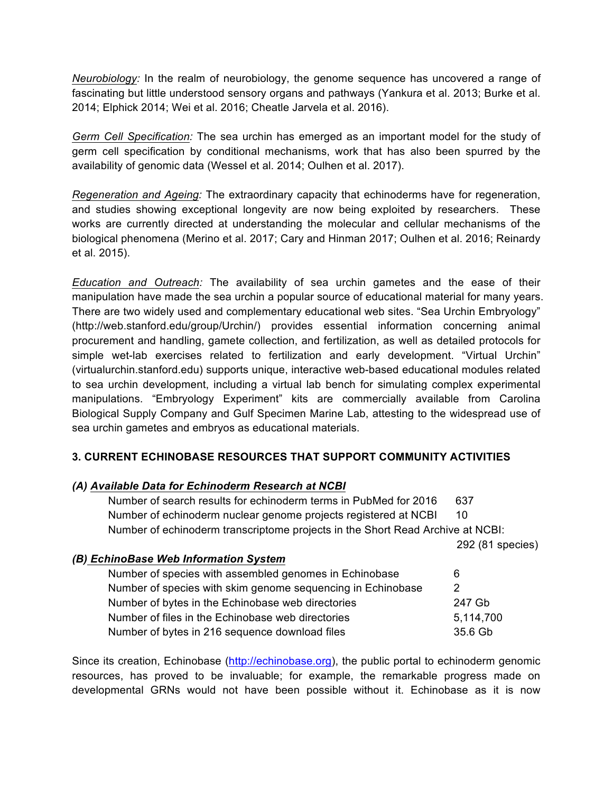*Neurobiology:* In the realm of neurobiology, the genome sequence has uncovered a range of fascinating but little understood sensory organs and pathways (Yankura et al. 2013; Burke et al. 2014; Elphick 2014; Wei et al. 2016; Cheatle Jarvela et al. 2016).

*Germ Cell Specification:* The sea urchin has emerged as an important model for the study of germ cell specification by conditional mechanisms, work that has also been spurred by the availability of genomic data (Wessel et al. 2014; Oulhen et al. 2017).

*Regeneration and Ageing:* The extraordinary capacity that echinoderms have for regeneration, and studies showing exceptional longevity are now being exploited by researchers. These works are currently directed at understanding the molecular and cellular mechanisms of the biological phenomena (Merino et al. 2017; Cary and Hinman 2017; Oulhen et al. 2016; Reinardy et al. 2015).

*Education and Outreach:* The availability of sea urchin gametes and the ease of their manipulation have made the sea urchin a popular source of educational material for many years. There are two widely used and complementary educational web sites. "Sea Urchin Embryology" (http://web.stanford.edu/group/Urchin/) provides essential information concerning animal procurement and handling, gamete collection, and fertilization, as well as detailed protocols for simple wet-lab exercises related to fertilization and early development. "Virtual Urchin" (virtualurchin.stanford.edu) supports unique, interactive web-based educational modules related to sea urchin development, including a virtual lab bench for simulating complex experimental manipulations. "Embryology Experiment" kits are commercially available from Carolina Biological Supply Company and Gulf Specimen Marine Lab, attesting to the widespread use of sea urchin gametes and embryos as educational materials.

## **3. CURRENT ECHINOBASE RESOURCES THAT SUPPORT COMMUNITY ACTIVITIES**

#### *(A) Available Data for Echinoderm Research at NCBI*

Number of search results for echinoderm terms in PubMed for 2016 637 Number of echinoderm nuclear genome projects registered at NCBI 10 Number of echinoderm transcriptome projects in the Short Read Archive at NCBI:

292 (81 species)

| (B) EchinoBase Web Information System                       |           |
|-------------------------------------------------------------|-----------|
| Number of species with assembled genomes in Echinobase      | 6         |
| Number of species with skim genome sequencing in Echinobase | 2         |
| Number of bytes in the Echinobase web directories           | 247 Gb    |
| Number of files in the Echinobase web directories           | 5,114,700 |
| Number of bytes in 216 sequence download files              | 35.6 Gb   |

Since its creation, Echinobase (http://echinobase.org), the public portal to echinoderm genomic resources, has proved to be invaluable; for example, the remarkable progress made on developmental GRNs would not have been possible without it. Echinobase as it is now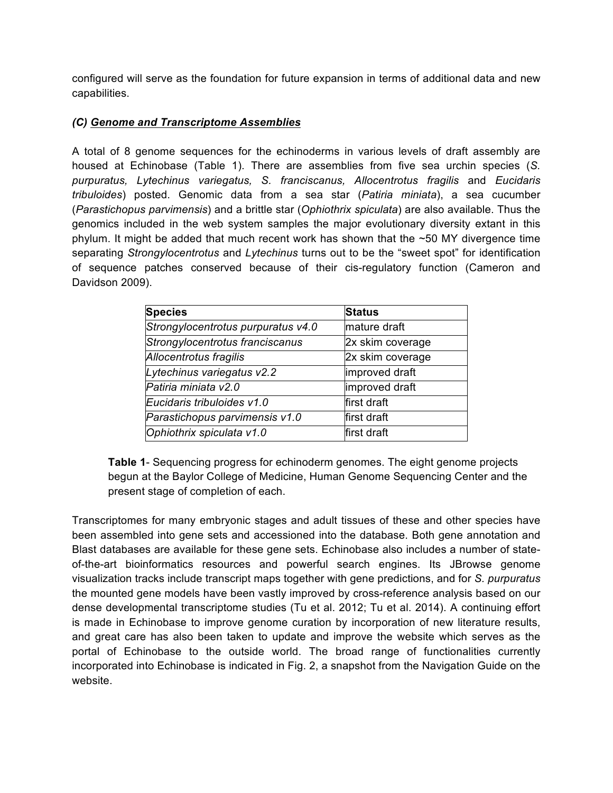configured will serve as the foundation for future expansion in terms of additional data and new capabilities.

### *(C) Genome and Transcriptome Assemblies*

A total of 8 genome sequences for the echinoderms in various levels of draft assembly are housed at Echinobase (Table 1). There are assemblies from five sea urchin species (*S. purpuratus, Lytechinus variegatus, S. franciscanus, Allocentrotus fragilis* and *Eucidaris tribuloides*) posted. Genomic data from a sea star (*Patiria miniata*), a sea cucumber (*Parastichopus parvimensis*) and a brittle star (*Ophiothrix spiculata*) are also available. Thus the genomics included in the web system samples the major evolutionary diversity extant in this phylum. It might be added that much recent work has shown that the ~50 MY divergence time separating *Strongylocentrotus* and *Lytechinus* turns out to be the "sweet spot" for identification of sequence patches conserved because of their cis-regulatory function (Cameron and Davidson 2009).

| <b>Species</b>                     | <b>Status</b>    |  |  |
|------------------------------------|------------------|--|--|
| Strongylocentrotus purpuratus v4.0 | mature draft     |  |  |
| Strongylocentrotus franciscanus    | 2x skim coverage |  |  |
| Allocentrotus fragilis             | 2x skim coverage |  |  |
| Lytechinus variegatus v2.2         | improved draft   |  |  |
| Patiria miniata v2.0               | improved draft   |  |  |
| Eucidaris tribuloides v1.0         | first draft      |  |  |
| Parastichopus parvimensis v1.0     | first draft      |  |  |
| Ophiothrix spiculata v1.0          | first draft      |  |  |

**Table 1**- Sequencing progress for echinoderm genomes. The eight genome projects begun at the Baylor College of Medicine, Human Genome Sequencing Center and the present stage of completion of each.

Transcriptomes for many embryonic stages and adult tissues of these and other species have been assembled into gene sets and accessioned into the database. Both gene annotation and Blast databases are available for these gene sets. Echinobase also includes a number of stateof-the-art bioinformatics resources and powerful search engines. Its JBrowse genome visualization tracks include transcript maps together with gene predictions, and for *S. purpuratus* the mounted gene models have been vastly improved by cross-reference analysis based on our dense developmental transcriptome studies (Tu et al. 2012; Tu et al. 2014). A continuing effort is made in Echinobase to improve genome curation by incorporation of new literature results, and great care has also been taken to update and improve the website which serves as the portal of Echinobase to the outside world. The broad range of functionalities currently incorporated into Echinobase is indicated in Fig. 2, a snapshot from the Navigation Guide on the website.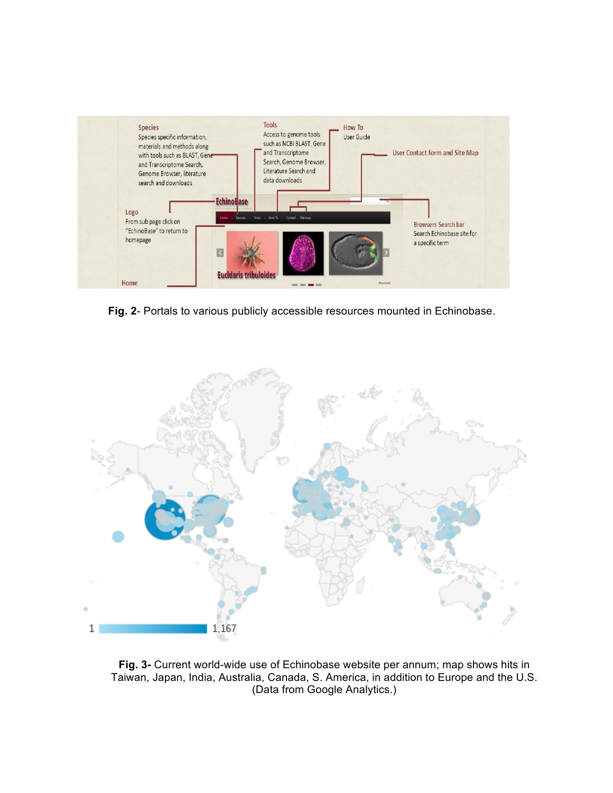

**Fig. 2**- Portals to various publicly accessible resources mounted in Echinobase.



**Fig. 3-** Current world-wide use of Echinobase website per annum; map shows hits in Taiwan, Japan, India, Australia, Canada, S. America, in addition to Europe and the U.S. (Data from Google Analytics.)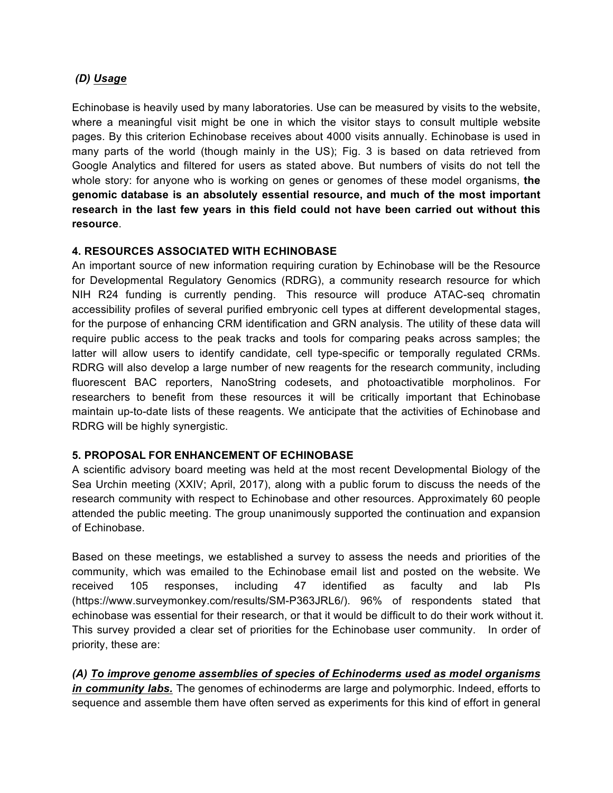## *(D) Usage*

Echinobase is heavily used by many laboratories. Use can be measured by visits to the website, where a meaningful visit might be one in which the visitor stays to consult multiple website pages. By this criterion Echinobase receives about 4000 visits annually. Echinobase is used in many parts of the world (though mainly in the US); Fig. 3 is based on data retrieved from Google Analytics and filtered for users as stated above. But numbers of visits do not tell the whole story: for anyone who is working on genes or genomes of these model organisms, **the genomic database is an absolutely essential resource, and much of the most important research in the last few years in this field could not have been carried out without this resource**.

#### **4. RESOURCES ASSOCIATED WITH ECHINOBASE**

An important source of new information requiring curation by Echinobase will be the Resource for Developmental Regulatory Genomics (RDRG), a community research resource for which NIH R24 funding is currently pending. This resource will produce ATAC-seq chromatin accessibility profiles of several purified embryonic cell types at different developmental stages, for the purpose of enhancing CRM identification and GRN analysis. The utility of these data will require public access to the peak tracks and tools for comparing peaks across samples; the latter will allow users to identify candidate, cell type-specific or temporally regulated CRMs. RDRG will also develop a large number of new reagents for the research community, including fluorescent BAC reporters, NanoString codesets, and photoactivatible morpholinos. For researchers to benefit from these resources it will be critically important that Echinobase maintain up-to-date lists of these reagents. We anticipate that the activities of Echinobase and RDRG will be highly synergistic.

#### **5. PROPOSAL FOR ENHANCEMENT OF ECHINOBASE**

A scientific advisory board meeting was held at the most recent Developmental Biology of the Sea Urchin meeting (XXIV; April, 2017), along with a public forum to discuss the needs of the research community with respect to Echinobase and other resources. Approximately 60 people attended the public meeting. The group unanimously supported the continuation and expansion of Echinobase.

Based on these meetings, we established a survey to assess the needs and priorities of the community, which was emailed to the Echinobase email list and posted on the website. We received 105 responses, including 47 identified as faculty and lab PIs (https://www.surveymonkey.com/results/SM-P363JRL6/). 96% of respondents stated that echinobase was essential for their research, or that it would be difficult to do their work without it. This survey provided a clear set of priorities for the Echinobase user community. In order of priority, these are:

## *(A) To improve genome assemblies of species of Echinoderms used as model organisms*

*in community labs.* The genomes of echinoderms are large and polymorphic. Indeed, efforts to sequence and assemble them have often served as experiments for this kind of effort in general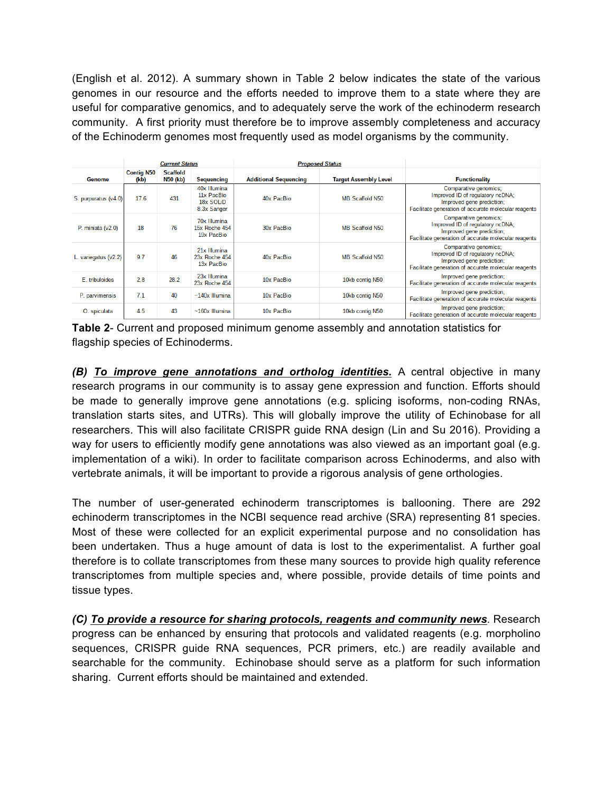(English et al. 2012). A summary shown in Table 2 below indicates the state of the various genomes in our resource and the efforts needed to improve them to a state where they are useful for comparative genomics, and to adequately serve the work of the echinoderm research community. A first priority must therefore be to improve assembly completeness and accuracy of the Echinoderm genomes most frequently used as model organisms by the community.

|                      | <b>Current Status</b>     |                             | <b>Proposed Status</b>                                 |                              |                              |                                                                                                                                                |
|----------------------|---------------------------|-----------------------------|--------------------------------------------------------|------------------------------|------------------------------|------------------------------------------------------------------------------------------------------------------------------------------------|
| Genome               | <b>Contig N50</b><br>(kb) | <b>Scaffold</b><br>N50 (kb) | <b>Sequencing</b>                                      | <b>Additional Sequencing</b> | <b>Target Assembly Level</b> | <b>Functionality</b>                                                                                                                           |
| S. purpuratus (v4.0) | 17.6                      | 431                         | 40x Illumina<br>11x PacBio<br>18x SOLiD<br>8.3x Sanger | 40x PacBio                   | MB Scaffold N50              | Comparative genomics;<br>Improved ID of regulatory ncDNA;<br>Improved gene prediction;<br>Facilitate generation of accurate molecular reagents |
| P. miniata $(v2.0)$  | 18                        | 76                          | 70x Illumina<br>15x Roche 454<br>19x PacBio            | 30x PacBio                   | <b>MB Scaffold N50</b>       | Comparative genomics:<br>Improved ID of regulatory ncDNA:<br>Improved gene prediction;<br>Facilitate generation of accurate molecular reagents |
| L. variegatus (v2.2) | 9.7                       | 46                          | 21x Illumina<br>23x Roche 454<br>13x PacBio            | 40x PacBio                   | MB Scaffold N50              | Comparative genomics;<br>Improved ID of regulatory ncDNA;<br>Improved gene prediction;<br>Facilitate generation of accurate molecular reagents |
| E. tribuloides       | 2.8                       | 28.2                        | 23x Illumina<br>23x Roche 454                          | 10x PacBio                   | 10kb contig N50              | Improved gene prediction;<br>Facilitate generation of accurate molecular reagents                                                              |
| P. parvimensis       | 71                        | 40                          | $\sim$ 140 $x$ Illumina                                | 10x PacBio                   | 10kb contig N50              | Improved gene prediction;<br>Facilitate generation of accurate molecular reagents                                                              |
| O. spiculata         | 45                        | 43                          | $~160x$ Illumina                                       | 10x PacBio                   | 10kb contig N50              | Improved gene prediction;<br>Facilitate generation of accurate molecular reagents                                                              |

**Table 2**- Current and proposed minimum genome assembly and annotation statistics for flagship species of Echinoderms.

*(B) To improve gene annotations and ortholog identities.* A central objective in many research programs in our community is to assay gene expression and function. Efforts should be made to generally improve gene annotations (e.g. splicing isoforms, non-coding RNAs, translation starts sites, and UTRs). This will globally improve the utility of Echinobase for all researchers. This will also facilitate CRISPR guide RNA design (Lin and Su 2016). Providing a way for users to efficiently modify gene annotations was also viewed as an important goal (e.g. implementation of a wiki). In order to facilitate comparison across Echinoderms, and also with vertebrate animals, it will be important to provide a rigorous analysis of gene orthologies.

The number of user-generated echinoderm transcriptomes is ballooning. There are 292 echinoderm transcriptomes in the NCBI sequence read archive (SRA) representing 81 species. Most of these were collected for an explicit experimental purpose and no consolidation has been undertaken. Thus a huge amount of data is lost to the experimentalist. A further goal therefore is to collate transcriptomes from these many sources to provide high quality reference transcriptomes from multiple species and, where possible, provide details of time points and tissue types.

*(C) To provide a resource for sharing protocols, reagents and community news.* Research progress can be enhanced by ensuring that protocols and validated reagents (e.g. morpholino sequences, CRISPR guide RNA sequences, PCR primers, etc.) are readily available and searchable for the community. Echinobase should serve as a platform for such information sharing. Current efforts should be maintained and extended.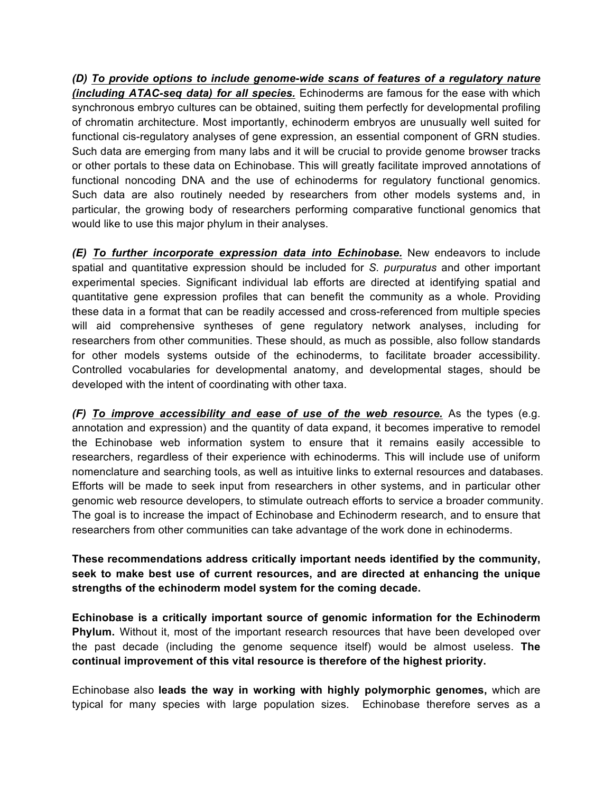*(D) To provide options to include genome-wide scans of features of a regulatory nature (including ATAC-seq data) for all species.* Echinoderms are famous for the ease with which synchronous embryo cultures can be obtained, suiting them perfectly for developmental profiling of chromatin architecture. Most importantly, echinoderm embryos are unusually well suited for functional cis-regulatory analyses of gene expression, an essential component of GRN studies. Such data are emerging from many labs and it will be crucial to provide genome browser tracks or other portals to these data on Echinobase. This will greatly facilitate improved annotations of functional noncoding DNA and the use of echinoderms for regulatory functional genomics. Such data are also routinely needed by researchers from other models systems and, in particular, the growing body of researchers performing comparative functional genomics that would like to use this major phylum in their analyses.

*(E) To further incorporate expression data into Echinobase.* New endeavors to include spatial and quantitative expression should be included for *S. purpuratus* and other important experimental species. Significant individual lab efforts are directed at identifying spatial and quantitative gene expression profiles that can benefit the community as a whole. Providing these data in a format that can be readily accessed and cross-referenced from multiple species will aid comprehensive syntheses of gene regulatory network analyses, including for researchers from other communities. These should, as much as possible, also follow standards for other models systems outside of the echinoderms, to facilitate broader accessibility. Controlled vocabularies for developmental anatomy, and developmental stages, should be developed with the intent of coordinating with other taxa.

*(F) To improve accessibility and ease of use of the web resource.* As the types (e.g. annotation and expression) and the quantity of data expand, it becomes imperative to remodel the Echinobase web information system to ensure that it remains easily accessible to researchers, regardless of their experience with echinoderms. This will include use of uniform nomenclature and searching tools, as well as intuitive links to external resources and databases. Efforts will be made to seek input from researchers in other systems, and in particular other genomic web resource developers, to stimulate outreach efforts to service a broader community. The goal is to increase the impact of Echinobase and Echinoderm research, and to ensure that researchers from other communities can take advantage of the work done in echinoderms.

## **These recommendations address critically important needs identified by the community, seek to make best use of current resources, and are directed at enhancing the unique strengths of the echinoderm model system for the coming decade.**

**Echinobase is a critically important source of genomic information for the Echinoderm Phylum.** Without it, most of the important research resources that have been developed over the past decade (including the genome sequence itself) would be almost useless. **The continual improvement of this vital resource is therefore of the highest priority.**

Echinobase also **leads the way in working with highly polymorphic genomes,** which are typical for many species with large population sizes. Echinobase therefore serves as a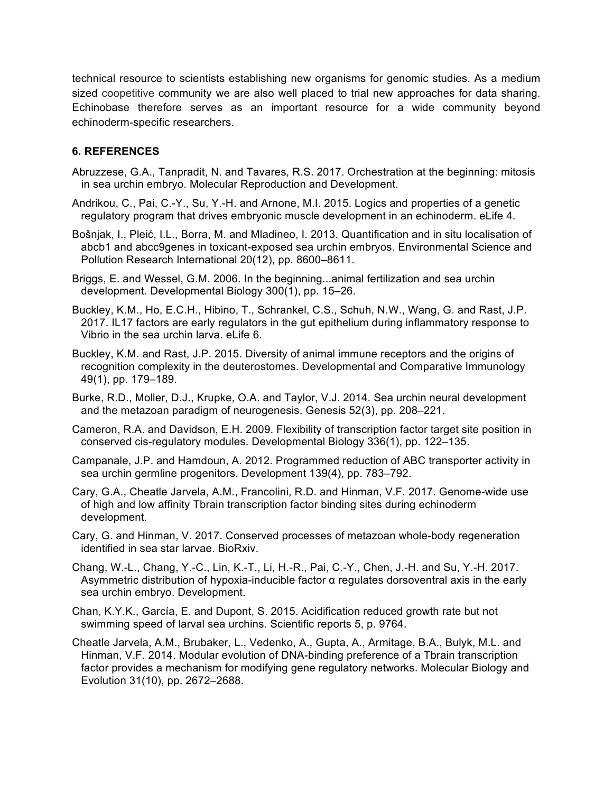technical resource to scientists establishing new organisms for genomic studies. As a medium sized coopetitive community we are also well placed to trial new approaches for data sharing. Echinobase therefore serves as an important resource for a wide community beyond echinoderm-specific researchers.

## **6. REFERENCES**

- Abruzzese, G.A., Tanpradit, N. and Tavares, R.S. 2017. Orchestration at the beginning: mitosis in sea urchin embryo. Molecular Reproduction and Development.
- Andrikou, C., Pai, C.-Y., Su, Y.-H. and Arnone, M.I. 2015. Logics and properties of a genetic regulatory program that drives embryonic muscle development in an echinoderm. eLife 4.
- Bošnjak, I., Pleić, I.L., Borra, M. and Mladineo, I. 2013. Quantification and in situ localisation of abcb1 and abcc9genes in toxicant-exposed sea urchin embryos. Environmental Science and Pollution Research International 20(12), pp. 8600–8611.
- Briggs, E. and Wessel, G.M. 2006. In the beginning...animal fertilization and sea urchin development. Developmental Biology 300(1), pp. 15–26.
- Buckley, K.M., Ho, E.C.H., Hibino, T., Schrankel, C.S., Schuh, N.W., Wang, G. and Rast, J.P. 2017. IL17 factors are early regulators in the gut epithelium during inflammatory response to Vibrio in the sea urchin larva. eLife 6.
- Buckley, K.M. and Rast, J.P. 2015. Diversity of animal immune receptors and the origins of recognition complexity in the deuterostomes. Developmental and Comparative Immunology 49(1), pp. 179–189.
- Burke, R.D., Moller, D.J., Krupke, O.A. and Taylor, V.J. 2014. Sea urchin neural development and the metazoan paradigm of neurogenesis. Genesis 52(3), pp. 208–221.
- Cameron, R.A. and Davidson, E.H. 2009. Flexibility of transcription factor target site position in conserved cis-regulatory modules. Developmental Biology 336(1), pp. 122–135.
- Campanale, J.P. and Hamdoun, A. 2012. Programmed reduction of ABC transporter activity in sea urchin germline progenitors. Development 139(4), pp. 783–792.
- Cary, G.A., Cheatle Jarvela, A.M., Francolini, R.D. and Hinman, V.F. 2017. Genome-wide use of high and low affinity Tbrain transcription factor binding sites during echinoderm development.
- Cary, G. and Hinman, V. 2017. Conserved processes of metazoan whole-body regeneration identified in sea star larvae. BioRxiv.
- Chang, W.-L., Chang, Y.-C., Lin, K.-T., Li, H.-R., Pai, C.-Y., Chen, J.-H. and Su, Y.-H. 2017. Asymmetric distribution of hypoxia-inducible factor α regulates dorsoventral axis in the early sea urchin embryo. Development.
- Chan, K.Y.K., García, E. and Dupont, S. 2015. Acidification reduced growth rate but not swimming speed of larval sea urchins. Scientific reports 5, p. 9764.
- Cheatle Jarvela, A.M., Brubaker, L., Vedenko, A., Gupta, A., Armitage, B.A., Bulyk, M.L. and Hinman, V.F. 2014. Modular evolution of DNA-binding preference of a Tbrain transcription factor provides a mechanism for modifying gene regulatory networks. Molecular Biology and Evolution 31(10), pp. 2672–2688.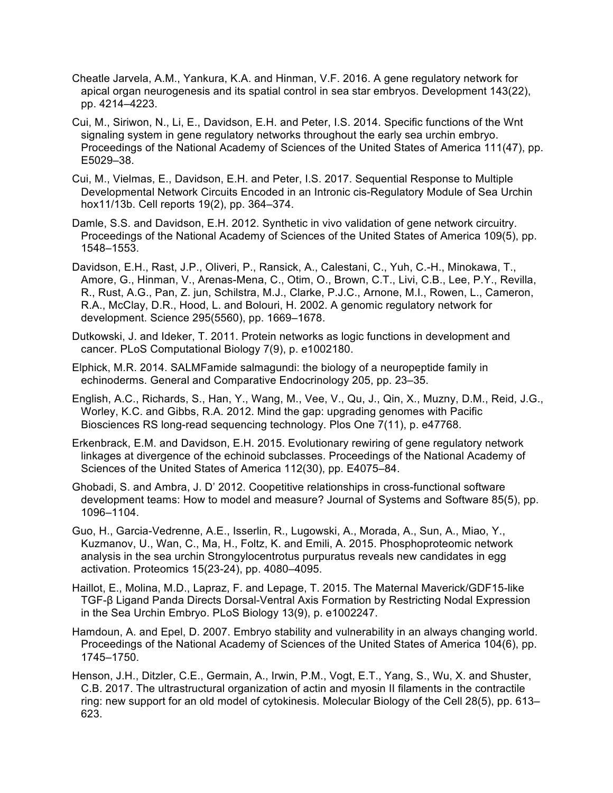- Cheatle Jarvela, A.M., Yankura, K.A. and Hinman, V.F. 2016. A gene regulatory network for apical organ neurogenesis and its spatial control in sea star embryos. Development 143(22), pp. 4214–4223.
- Cui, M., Siriwon, N., Li, E., Davidson, E.H. and Peter, I.S. 2014. Specific functions of the Wnt signaling system in gene regulatory networks throughout the early sea urchin embryo. Proceedings of the National Academy of Sciences of the United States of America 111(47), pp. E5029–38.
- Cui, M., Vielmas, E., Davidson, E.H. and Peter, I.S. 2017. Sequential Response to Multiple Developmental Network Circuits Encoded in an Intronic cis-Regulatory Module of Sea Urchin hox11/13b. Cell reports 19(2), pp. 364–374.
- Damle, S.S. and Davidson, E.H. 2012. Synthetic in vivo validation of gene network circuitry. Proceedings of the National Academy of Sciences of the United States of America 109(5), pp. 1548–1553.
- Davidson, E.H., Rast, J.P., Oliveri, P., Ransick, A., Calestani, C., Yuh, C.-H., Minokawa, T., Amore, G., Hinman, V., Arenas-Mena, C., Otim, O., Brown, C.T., Livi, C.B., Lee, P.Y., Revilla, R., Rust, A.G., Pan, Z. jun, Schilstra, M.J., Clarke, P.J.C., Arnone, M.I., Rowen, L., Cameron, R.A., McClay, D.R., Hood, L. and Bolouri, H. 2002. A genomic regulatory network for development. Science 295(5560), pp. 1669–1678.
- Dutkowski, J. and Ideker, T. 2011. Protein networks as logic functions in development and cancer. PLoS Computational Biology 7(9), p. e1002180.
- Elphick, M.R. 2014. SALMFamide salmagundi: the biology of a neuropeptide family in echinoderms. General and Comparative Endocrinology 205, pp. 23–35.
- English, A.C., Richards, S., Han, Y., Wang, M., Vee, V., Qu, J., Qin, X., Muzny, D.M., Reid, J.G., Worley, K.C. and Gibbs, R.A. 2012. Mind the gap: upgrading genomes with Pacific Biosciences RS long-read sequencing technology. Plos One 7(11), p. e47768.
- Erkenbrack, E.M. and Davidson, E.H. 2015. Evolutionary rewiring of gene regulatory network linkages at divergence of the echinoid subclasses. Proceedings of the National Academy of Sciences of the United States of America 112(30), pp. E4075–84.
- Ghobadi, S. and Ambra, J. D' 2012. Coopetitive relationships in cross-functional software development teams: How to model and measure? Journal of Systems and Software 85(5), pp. 1096–1104.
- Guo, H., Garcia-Vedrenne, A.E., Isserlin, R., Lugowski, A., Morada, A., Sun, A., Miao, Y., Kuzmanov, U., Wan, C., Ma, H., Foltz, K. and Emili, A. 2015. Phosphoproteomic network analysis in the sea urchin Strongylocentrotus purpuratus reveals new candidates in egg activation. Proteomics 15(23-24), pp. 4080–4095.
- Haillot, E., Molina, M.D., Lapraz, F. and Lepage, T. 2015. The Maternal Maverick/GDF15-like TGF-β Ligand Panda Directs Dorsal-Ventral Axis Formation by Restricting Nodal Expression in the Sea Urchin Embryo. PLoS Biology 13(9), p. e1002247.
- Hamdoun, A. and Epel, D. 2007. Embryo stability and vulnerability in an always changing world. Proceedings of the National Academy of Sciences of the United States of America 104(6), pp. 1745–1750.
- Henson, J.H., Ditzler, C.E., Germain, A., Irwin, P.M., Vogt, E.T., Yang, S., Wu, X. and Shuster, C.B. 2017. The ultrastructural organization of actin and myosin II filaments in the contractile ring: new support for an old model of cytokinesis. Molecular Biology of the Cell 28(5), pp. 613– 623.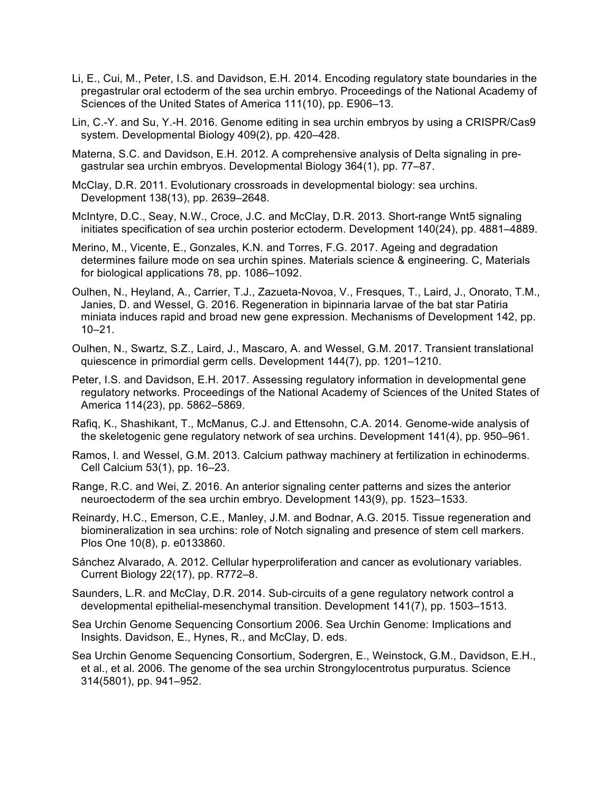- Li, E., Cui, M., Peter, I.S. and Davidson, E.H. 2014. Encoding regulatory state boundaries in the pregastrular oral ectoderm of the sea urchin embryo. Proceedings of the National Academy of Sciences of the United States of America 111(10), pp. E906–13.
- Lin, C.-Y. and Su, Y.-H. 2016. Genome editing in sea urchin embryos by using a CRISPR/Cas9 system. Developmental Biology 409(2), pp. 420–428.
- Materna, S.C. and Davidson, E.H. 2012. A comprehensive analysis of Delta signaling in pregastrular sea urchin embryos. Developmental Biology 364(1), pp. 77–87.
- McClay, D.R. 2011. Evolutionary crossroads in developmental biology: sea urchins. Development 138(13), pp. 2639–2648.
- McIntyre, D.C., Seay, N.W., Croce, J.C. and McClay, D.R. 2013. Short-range Wnt5 signaling initiates specification of sea urchin posterior ectoderm. Development 140(24), pp. 4881–4889.
- Merino, M., Vicente, E., Gonzales, K.N. and Torres, F.G. 2017. Ageing and degradation determines failure mode on sea urchin spines. Materials science & engineering. C, Materials for biological applications 78, pp. 1086–1092.
- Oulhen, N., Heyland, A., Carrier, T.J., Zazueta-Novoa, V., Fresques, T., Laird, J., Onorato, T.M., Janies, D. and Wessel, G. 2016. Regeneration in bipinnaria larvae of the bat star Patiria miniata induces rapid and broad new gene expression. Mechanisms of Development 142, pp. 10–21.
- Oulhen, N., Swartz, S.Z., Laird, J., Mascaro, A. and Wessel, G.M. 2017. Transient translational quiescence in primordial germ cells. Development 144(7), pp. 1201–1210.
- Peter, I.S. and Davidson, E.H. 2017. Assessing regulatory information in developmental gene regulatory networks. Proceedings of the National Academy of Sciences of the United States of America 114(23), pp. 5862–5869.
- Rafiq, K., Shashikant, T., McManus, C.J. and Ettensohn, C.A. 2014. Genome-wide analysis of the skeletogenic gene regulatory network of sea urchins. Development 141(4), pp. 950–961.
- Ramos, I. and Wessel, G.M. 2013. Calcium pathway machinery at fertilization in echinoderms. Cell Calcium 53(1), pp. 16–23.
- Range, R.C. and Wei, Z. 2016. An anterior signaling center patterns and sizes the anterior neuroectoderm of the sea urchin embryo. Development 143(9), pp. 1523–1533.
- Reinardy, H.C., Emerson, C.E., Manley, J.M. and Bodnar, A.G. 2015. Tissue regeneration and biomineralization in sea urchins: role of Notch signaling and presence of stem cell markers. Plos One 10(8), p. e0133860.
- Sánchez Alvarado, A. 2012. Cellular hyperproliferation and cancer as evolutionary variables. Current Biology 22(17), pp. R772–8.
- Saunders, L.R. and McClay, D.R. 2014. Sub-circuits of a gene regulatory network control a developmental epithelial-mesenchymal transition. Development 141(7), pp. 1503–1513.
- Sea Urchin Genome Sequencing Consortium 2006. Sea Urchin Genome: Implications and Insights. Davidson, E., Hynes, R., and McClay, D. eds.
- Sea Urchin Genome Sequencing Consortium, Sodergren, E., Weinstock, G.M., Davidson, E.H., et al., et al. 2006. The genome of the sea urchin Strongylocentrotus purpuratus. Science 314(5801), pp. 941–952.